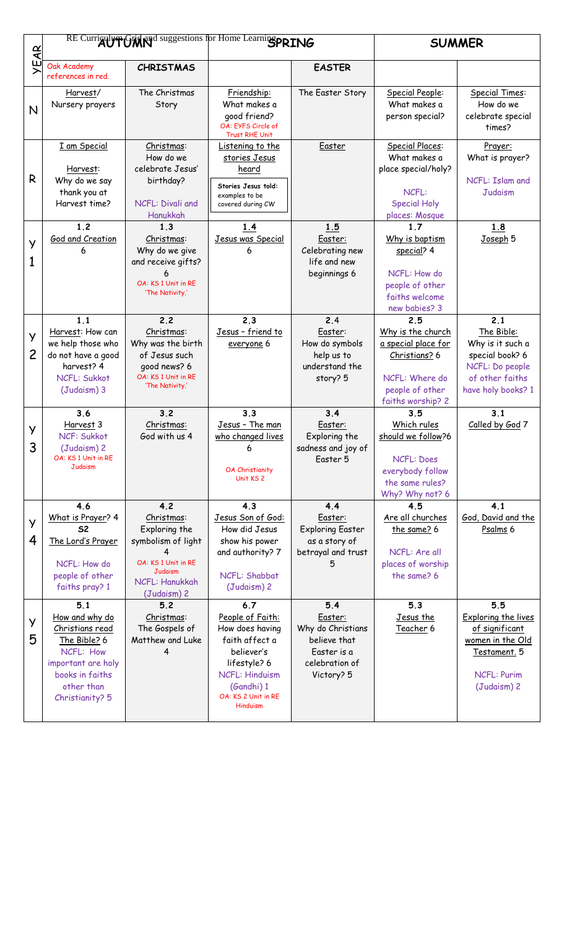|                     |                                                                                                                                                 |                                                                                                                                    | RE Curriculum Grid and suggestions for Home Learning PRING                                                                                                                  |                                                                                                    | <b>SUMMER</b>                                                                                                              |                                                                                                                       |
|---------------------|-------------------------------------------------------------------------------------------------------------------------------------------------|------------------------------------------------------------------------------------------------------------------------------------|-----------------------------------------------------------------------------------------------------------------------------------------------------------------------------|----------------------------------------------------------------------------------------------------|----------------------------------------------------------------------------------------------------------------------------|-----------------------------------------------------------------------------------------------------------------------|
| $\mathbf{R}$        |                                                                                                                                                 |                                                                                                                                    |                                                                                                                                                                             |                                                                                                    |                                                                                                                            |                                                                                                                       |
| ١F                  | Oak Academy<br>references in red.                                                                                                               | <b>CHRISTMAS</b>                                                                                                                   |                                                                                                                                                                             | <b>EASTER</b>                                                                                      |                                                                                                                            |                                                                                                                       |
| N                   | Harvest/<br>Nursery prayers                                                                                                                     | The Christmas<br>Story                                                                                                             | Friendship:<br>What makes a<br>qood friend?<br>OA: EYFS Circle of<br><b>Trust RHE Unit</b>                                                                                  | The Easter Story                                                                                   | Special People:<br>What makes a<br>person special?                                                                         | Special Times:<br>How do we<br>celebrate special<br>times?                                                            |
| R                   | I am Special<br>Harvest:<br>Why do we say<br>thank you at<br>Harvest time?                                                                      | Christmas:<br>How do we<br>celebrate Jesus'<br>birthday?<br>NCFL: Divali and<br>Hanukkah                                           | Listening to the<br>stories Jesus<br>heard<br>Stories Jesus told:<br>examples to be<br>covered during CW                                                                    | Easter                                                                                             | Special Places:<br>What makes a<br>place special/holy?<br>NCFL:<br><b>Special Holy</b><br>places: Mosque                   | Prayer:<br>What is prayer?<br>NCFL: Islam and<br>Judaism                                                              |
| y<br>1              | 1 <sub>2</sub><br>God and Creation                                                                                                              | 1.3<br>Christmas:<br>Why do we give<br>and receive gifts?<br>OA: KS 1 Unit in RE<br>'The Nativity.'                                | 1.4<br>Jesus was Special<br>6                                                                                                                                               | 1.5<br>Easter:<br>Celebrating new<br>life and new<br>beginnings 6                                  | 17<br>Why is baptism<br>special? 4<br>NCFL: How do<br>people of other<br>faiths welcome<br>new babies? 3                   | 1.8<br>Joseph 5                                                                                                       |
| y<br>$\overline{c}$ | 1.1<br>Harvest: How can<br>we help those who<br>do not have a good<br>harvest? 4<br>NCFL: Sukkot<br>(Judaism) 3                                 | 2.2<br>Christmas:<br>Why was the birth<br>of Jesus such<br>good news? 6<br>OA: KS 1 Unit in RE<br>'The Nativity.'                  | 2.3<br>Jesus - friend to<br>everyone 6                                                                                                                                      | 2.4<br>Easter:<br>How do symbols<br>help us to<br>understand the<br>story? 5                       | 2.5<br>Why is the church<br>a special place for<br>Christians? 6<br>NCFL: Where do<br>people of other<br>faiths worship? 2 | 2.1<br>The Bible:<br>Why is it such a<br>special book? 6<br>NCFL: Do people<br>of other faiths<br>have holy books? 1  |
| У<br>3              | 3.6<br>Harvest 3<br>NCF: Sukkot<br>(Judaism) 2<br>OA: KS 1 Unit in RE<br>Judaism                                                                | 3.2<br>Christmas:<br>God with us 4                                                                                                 | 3.3<br>Jesus - The man<br>who changed lives<br>6<br><b>OA Christianity</b><br>Unit KS <sub>2</sub>                                                                          | 3.4<br>Easter:<br>Exploring the<br>sadness and joy of<br>Easter 5                                  | 3.5<br>Which rules<br>should we follow?6<br>NCFL: Does<br>everybody follow<br>the same rules?<br>Why? Why not? 6           | 3.1<br>Called by God 7                                                                                                |
| y<br>4              | 4.6<br>What is Prayer? 4<br><b>S2</b><br>The Lord's Prayer<br>NCFL: How do<br>people of other<br>faiths pray? 1                                 | 4.2<br>Christmas:<br>Exploring the<br>symbolism of light<br>OA: KS 1 Unit in RE<br><b>Judaism</b><br>NCFL: Hanukkah<br>(Judaism) 2 | 4.3<br>Jesus Son of God:<br>How did Jesus<br>show his power<br>and authority? 7<br>NCFL: Shabbat<br>(Judaism) 2                                                             | 4.4<br>Easter:<br><b>Exploring Easter</b><br>as a story of<br>betrayal and trust                   | 4.5<br>Are all churches<br>the same? 6<br>NCFL: Are all<br>places of worship<br>the same? 6                                | 4.1<br>God, David and the<br>Psalms 6                                                                                 |
| y<br>5              | 5.1<br>How and why do<br>Christians read<br>The Bible? 6<br>NCFL: How<br>important are holy<br>books in faiths<br>other than<br>Christianity? 5 | 5.2<br>Christmas:<br>The Gospels of<br>Matthew and Luke                                                                            | 6.7<br>People of Faith:<br>How does having<br>faith affect a<br>believer's<br>lifestyle? 6<br><b>NCFL: Hinduism</b><br>(Gandhi) 1<br>OA: KS 2 Unit in RE<br><b>Hinduism</b> | 5.4<br>Easter:<br>Why do Christians<br>believe that<br>Easter is a<br>celebration of<br>Victory? 5 | 5.3<br>Jesus the<br>Teacher 6                                                                                              | 5.5<br>Exploring the lives<br>of significant<br>women in the Old<br>Testament. 5<br><b>NCFL: Purim</b><br>(Judaism) 2 |